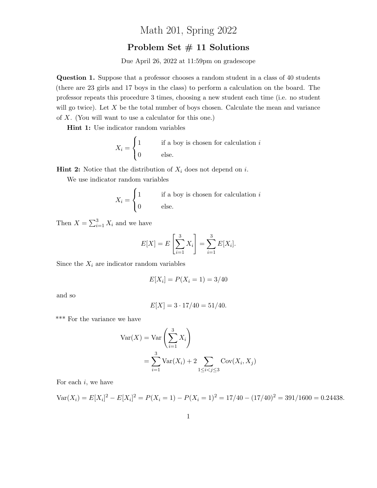## Math 201, Spring 2022

## Problem Set  $#$  11 Solutions

Due April 26, 2022 at 11:59pm on gradescope

Question 1. Suppose that a professor chooses a random student in a class of 40 students (there are 23 girls and 17 boys in the class) to perform a calculation on the board. The professor repeats this procedure 3 times, choosing a new student each time (i.e. no student will go twice). Let  $X$  be the total number of boys chosen. Calculate the mean and variance of X. (You will want to use a calculator for this one.)

Hint 1: Use indicator random variables

$$
X_i = \begin{cases} 1 & \text{if a boy is chosen for calculation } i \\ 0 & \text{else.} \end{cases}
$$

**Hint 2:** Notice that the distribution of  $X_i$  does not depend on i.

We use indicator random variables

$$
X_i = \begin{cases} 1 & \text{if a boy is chosen for calculation } i \\ 0 & \text{else.} \end{cases}
$$

Then  $X = \sum_{i=1}^{3} X_i$  and we have

$$
E[X] = E\left[\sum_{i=1}^{3} X_i\right] = \sum_{i=1}^{3} E[X_i].
$$

Since the  $X_i$  are indicator random variables

$$
E[X_i] = P(X_i = 1) = 3/40
$$

and so

$$
E[X] = 3 \cdot 17/40 = 51/40.
$$

\*\*\* For the variance we have

$$
Var(X) = Var\left(\sum_{i=1}^{3} X_i\right)
$$
  
= 
$$
\sum_{i=1}^{3} Var(X_i) + 2 \sum_{1 \le i < j \le 3} Cov(X_i, X_j)
$$

For each  $i$ , we have

$$
Var(X_i) = E[X_i]^2 - E[X_i]^2 = P(X_i = 1) - P(X_i = 1)^2 = 17/40 - (17/40)^2 = 391/1600 = 0.24438.
$$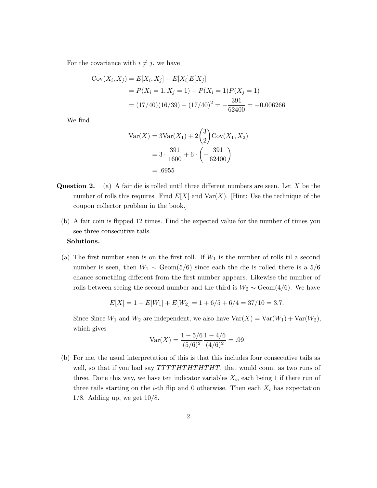For the covariance with  $i \neq j$ , we have

$$
Cov(X_i, X_j) = E[X_i, X_j] - E[X_i]E[X_j]
$$
  
=  $P(X_i = 1, X_j = 1) - P(X_i = 1)P(X_j = 1)$   
=  $(17/40)(16/39) - (17/40)^2 = -\frac{391}{62400} = -0.006266$ 

We find

$$
Var(X) = 3Var(X_1) + 2\binom{3}{2}Cov(X_1, X_2)
$$
  
=  $3 \cdot \frac{391}{1600} + 6 \cdot \left(-\frac{391}{62400}\right)$   
= .6955

- **Question 2.** (a) A fair die is rolled until three different numbers are seen. Let  $X$  be the number of rolls this requires. Find  $E[X]$  and  $Var(X)$ . [Hint: Use the technique of the coupon collector problem in the book.]
	- (b) A fair coin is flipped 12 times. Find the expected value for the number of times you see three consecutive tails.

## Solutions.

(a) The first number seen is on the first roll. If  $W_1$  is the number of rolls til a second number is seen, then  $W_1 \sim \text{Geom}(5/6)$  since each the die is rolled there is a 5/6 chance something different from the first number appears. Likewise the number of rolls between seeing the second number and the third is  $W_2 \sim \text{Geom}(4/6)$ . We have

$$
E[X] = 1 + E[W_1] + E[W_2] = 1 + 6/5 + 6/4 = 37/10 = 3.7.
$$

Since Since  $W_1$  and  $W_2$  are independent, we also have  $Var(X) = Var(W_1) + Var(W_2)$ , which gives

$$
Var(X) = \frac{1 - 5/6}{(5/6)^2} \frac{1 - 4/6}{(4/6)^2} = .99
$$

(b) For me, the usual interpretation of this is that this includes four consecutive tails as well, so that if you had say  $TTTHTHTHTT$ , that would count as two runs of three. Done this way, we have ten indicator variables  $X_i$ , each being 1 if there run of three tails starting on the *i*-th flip and 0 otherwise. Then each  $X_i$  has expectation 1/8. Adding up, we get 10/8.